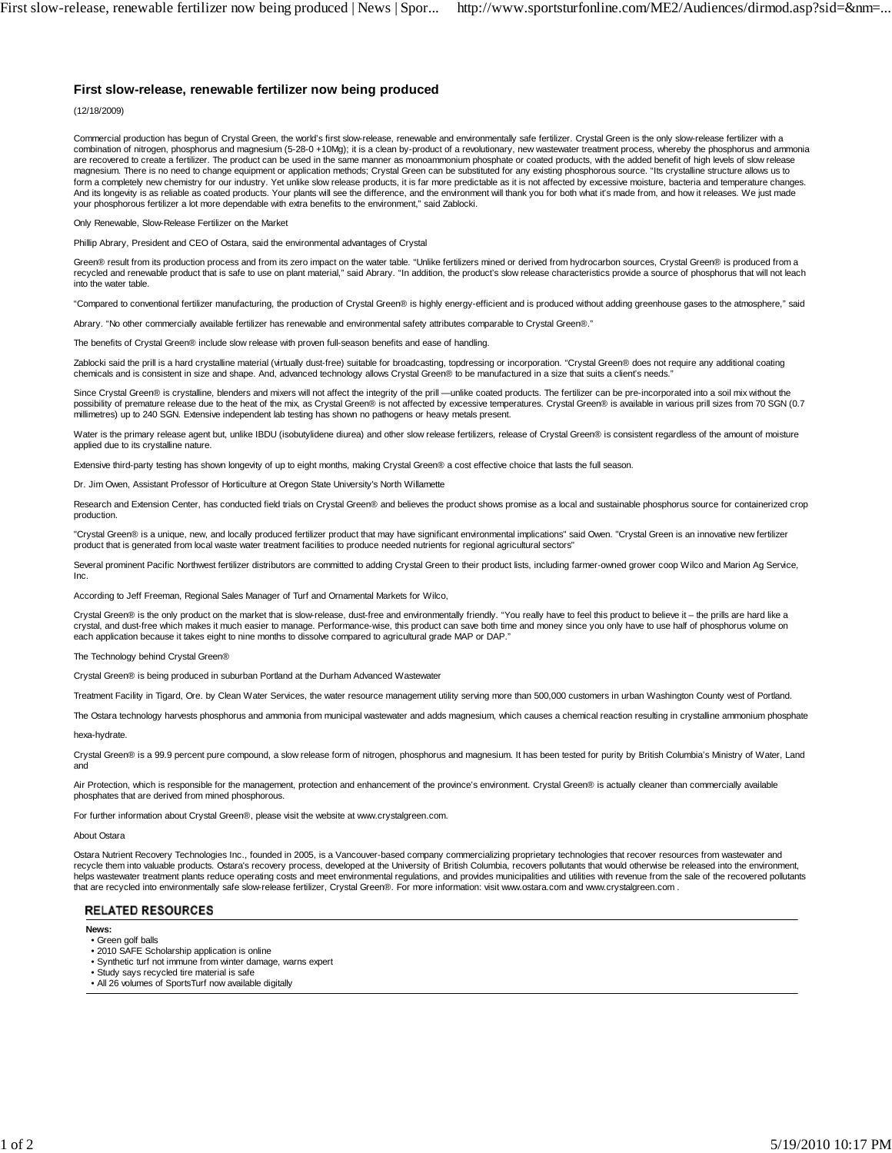## **First slow-release, renewable fertilizer now being produced**

## (12/18/2009)

Commercial production has begun of Crystal Green, the world's first slow-release, renewable and environmentally safe fertilizer. Crystal Green is the only slow-release fertilizer with a combination of nitrogen, phosphorus and magnesium (5-28-0 +10Mg); it is a clean by-product of a revolutionary, new wastewater treatment process, whereby the phosphorus and ammonia are recovered to create a fertilizer. The product can be used in the same manner as monoammonium phosphate or coated products, with the added benefit of high levels of slow release magnesium. There is no need to change equipment or application methods; Crystal Green can be substituted for any existing phosphorous source. "Its crystalline structure allows us to form a completely new chemistry for our industry. Yet unlike slow release products, it is far more predictable as it is not affected by excessive moisture, bacteria and temperature changes. And its longevity is as reliable as coated products. Your plants will see the difference, and the environment will thank you for both what it's made from, and how it releases. We just made your phosphorous fertilizer a lot more dependable with extra benefits to the environment," said Zablocki.

Only Renewable, Slow-Release Fertilizer on the Market

Phillip Abrary, President and CEO of Ostara, said the environmental advantages of Crystal

Green® result from its production process and from its zero impact on the water table. "Unlike fertilizers mined or derived from hydrocarbon sources, Crystal Green® is produced from a recycled and renewable product that is safe to use on plant material," said Abrary. "In addition, the product's slow release characteristics provide a source of phosphorus that will not leach into the water table.

"Compared to conventional fertilizer manufacturing, the production of Crystal Green® is highly energy-efficient and is produced without adding greenhouse gases to the atmosphere," said

Abrary. "No other commercially available fertilizer has renewable and environmental safety attributes comparable to Crystal Green®."

The benefits of Crystal Green® include slow release with proven full-season benefits and ease of handling.

Zablocki said the prill is a hard crystalline material (virtually dust-free) suitable for broadcasting, topdressing or incorporation. "Crystal Green® does not require any additional coating chemicals and is consistent in size and shape. And, advanced technology allows Crystal Green® to be manufactured in a size that suits a client's needs."

Since Crystal Green® is crystalline, blenders and mixers will not affect the integrity of the prill —unlike coated products. The fertilizer can be pre-incorporated into a soil mix without the possibility of premature release due to the heat of the mix, as Crystal Green® is not affected by excessive temperatures. Crystal Green® is available in various prill sizes from 70 SGN (0.7 millimetres) up to 240 SGN. Extensive independent lab testing has shown no pathogens or heavy metals present.

Water is the primary release agent but, unlike IBDU (isobutylidene diurea) and other slow release fertilizers, release of Crystal Green® is consistent regardless of the amount of moisture applied due to its crystalline nature.

Extensive third-party testing has shown longevity of up to eight months, making Crystal Green® a cost effective choice that lasts the full season.

Dr. Jim Owen, Assistant Professor of Horticulture at Oregon State University's North Willamette

Research and Extension Center, has conducted field trials on Crystal Green® and believes the product shows promise as a local and sustainable phosphorus source for containerized crop production.

"Crystal Green® is a unique, new, and locally produced fertilizer product that may have significant environmental implications" said Owen. "Crystal Green is an innovative new fertilizer product that is generated from local waste water treatment facilities to produce needed nutrients for regional agricultural sectors"

Several prominent Pacific Northwest fertilizer distributors are committed to adding Crystal Green to their product lists, including farmer-owned grower coop Wilco and Marion Ag Service, Inc.

According to Jeff Freeman, Regional Sales Manager of Turf and Ornamental Markets for Wilco,

Crystal Green® is the only product on the market that is slow-release, dust-free and environmentally friendly. "You really have to feel this product to believe it – the prills are hard like a crystal, and dust-free which makes it much easier to manage. Performance-wise, this product can save both time and money since you only have to use half of phosphorus volume on each application because it takes eight to nine months to dissolve compared to agricultural grade MAP or DAP."

The Technology behind Crystal Green®

Crystal Green® is being produced in suburban Portland at the Durham Advanced Wastewater

Treatment Facility in Tigard, Ore. by Clean Water Services, the water resource management utility serving more than 500,000 customers in urban Washington County west of Portland.

The Ostara technology harvests phosphorus and ammonia from municipal wastewater and adds magnesium, which causes a chemical reaction resulting in crystalline ammonium phosphate

hexa-hydrate.

Crystal Green® is a 99.9 percent pure compound, a slow release form of nitrogen, phosphorus and magnesium. It has been tested for purity by British Columbia's Ministry of Water, Land and

Air Protection, which is responsible for the management, protection and enhancement of the province's environment. Crystal Green® is actually cleaner than commercially available phosphates that are derived from mined phosphorous.

For further information about Crystal Green®, please visit the website at www.crystalgreen.com.

## About Ostara

Ostara Nutrient Recovery Technologies Inc., founded in 2005, is a Vancouver-based company commercializing proprietary technologies that recover resources from wastewater and<br>recycle them into valuable products. Ostara's re helps wastewater treatment plants reduce operating costs and meet environmental regulations, and provides municipalities and utilities with revenue from the sale of the recovered pollutants that are recycled into environmentally safe slow-release fertilizer, Crystal Green®. For more information: visit www.ostara.com and www.crystalgreen.com .

## **RELATED RESOURCES**

**News:**

- Green golf balls
- 2010 SAFE Scholarship application is online
- Synthetic turf not immune from winter damage, warns expert
- Study says recycled tire material is safe
- All 26 volumes of SportsTurf now available digitally